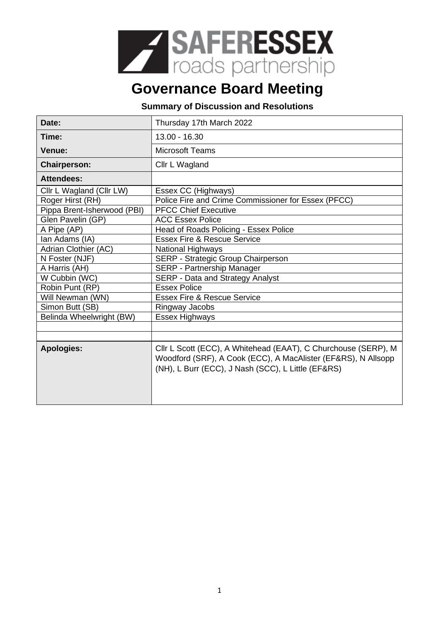

## **Governance Board Meeting**

## **Summary of Discussion and Resolutions**

| Date:                       | Thursday 17th March 2022                                                                                                                                                              |
|-----------------------------|---------------------------------------------------------------------------------------------------------------------------------------------------------------------------------------|
| Time:                       | $13.00 - 16.30$                                                                                                                                                                       |
| <b>Venue:</b>               | <b>Microsoft Teams</b>                                                                                                                                                                |
| <b>Chairperson:</b>         | Cllr L Wagland                                                                                                                                                                        |
| <b>Attendees:</b>           |                                                                                                                                                                                       |
| Cllr L Wagland (Cllr LW)    | Essex CC (Highways)                                                                                                                                                                   |
| Roger Hirst (RH)            | Police Fire and Crime Commissioner for Essex (PFCC)                                                                                                                                   |
| Pippa Brent-Isherwood (PBI) | <b>PFCC Chief Executive</b>                                                                                                                                                           |
| Glen Pavelin (GP)           | <b>ACC Essex Police</b>                                                                                                                                                               |
| A Pipe (AP)                 | Head of Roads Policing - Essex Police                                                                                                                                                 |
| Ian Adams (IA)              | <b>Essex Fire &amp; Rescue Service</b>                                                                                                                                                |
| Adrian Clothier (AC)        | <b>National Highways</b>                                                                                                                                                              |
| N Foster (NJF)              | SERP - Strategic Group Chairperson                                                                                                                                                    |
| A Harris (AH)               | SERP - Partnership Manager                                                                                                                                                            |
| W Cubbin (WC)               | SERP - Data and Strategy Analyst                                                                                                                                                      |
| Robin Punt (RP)             | <b>Essex Police</b>                                                                                                                                                                   |
| Will Newman (WN)            | <b>Essex Fire &amp; Rescue Service</b>                                                                                                                                                |
| Simon Butt (SB)             | Ringway Jacobs                                                                                                                                                                        |
| Belinda Wheelwright (BW)    | Essex Highways                                                                                                                                                                        |
|                             |                                                                                                                                                                                       |
|                             |                                                                                                                                                                                       |
| <b>Apologies:</b>           | Cllr L Scott (ECC), A Whitehead (EAAT), C Churchouse (SERP), M<br>Woodford (SRF), A Cook (ECC), A MacAlister (EF&RS), N Allsopp<br>(NH), L Burr (ECC), J Nash (SCC), L Little (EF&RS) |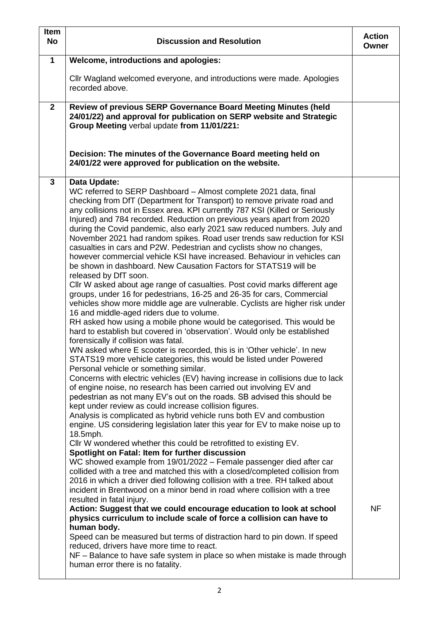| <b>Item</b><br><b>No</b> | <b>Discussion and Resolution</b>                                                                                                                                                                                                                                                                                                                                                                                                                                                                                                                                                                                                                                                                                                                                                                                                                                                                                                                                                                                                                                                                                                                                                                                                                                                                                                                                                                                                                                                                                                                                                                                                                                                                                                                                                                                                                                                                                                                                                                                                                                                                                                                                                                                                                                                                                                                                                                                                                                                                                                                                                                                                                                                                                                                                   | <b>Action</b><br>Owner |
|--------------------------|--------------------------------------------------------------------------------------------------------------------------------------------------------------------------------------------------------------------------------------------------------------------------------------------------------------------------------------------------------------------------------------------------------------------------------------------------------------------------------------------------------------------------------------------------------------------------------------------------------------------------------------------------------------------------------------------------------------------------------------------------------------------------------------------------------------------------------------------------------------------------------------------------------------------------------------------------------------------------------------------------------------------------------------------------------------------------------------------------------------------------------------------------------------------------------------------------------------------------------------------------------------------------------------------------------------------------------------------------------------------------------------------------------------------------------------------------------------------------------------------------------------------------------------------------------------------------------------------------------------------------------------------------------------------------------------------------------------------------------------------------------------------------------------------------------------------------------------------------------------------------------------------------------------------------------------------------------------------------------------------------------------------------------------------------------------------------------------------------------------------------------------------------------------------------------------------------------------------------------------------------------------------------------------------------------------------------------------------------------------------------------------------------------------------------------------------------------------------------------------------------------------------------------------------------------------------------------------------------------------------------------------------------------------------------------------------------------------------------------------------------------------------|------------------------|
| $\mathbf{1}$             | <b>Welcome, introductions and apologies:</b>                                                                                                                                                                                                                                                                                                                                                                                                                                                                                                                                                                                                                                                                                                                                                                                                                                                                                                                                                                                                                                                                                                                                                                                                                                                                                                                                                                                                                                                                                                                                                                                                                                                                                                                                                                                                                                                                                                                                                                                                                                                                                                                                                                                                                                                                                                                                                                                                                                                                                                                                                                                                                                                                                                                       |                        |
|                          | Cllr Wagland welcomed everyone, and introductions were made. Apologies<br>recorded above.                                                                                                                                                                                                                                                                                                                                                                                                                                                                                                                                                                                                                                                                                                                                                                                                                                                                                                                                                                                                                                                                                                                                                                                                                                                                                                                                                                                                                                                                                                                                                                                                                                                                                                                                                                                                                                                                                                                                                                                                                                                                                                                                                                                                                                                                                                                                                                                                                                                                                                                                                                                                                                                                          |                        |
| $\mathbf{2}$             | Review of previous SERP Governance Board Meeting Minutes (held<br>24/01/22) and approval for publication on SERP website and Strategic<br>Group Meeting verbal update from 11/01/221:                                                                                                                                                                                                                                                                                                                                                                                                                                                                                                                                                                                                                                                                                                                                                                                                                                                                                                                                                                                                                                                                                                                                                                                                                                                                                                                                                                                                                                                                                                                                                                                                                                                                                                                                                                                                                                                                                                                                                                                                                                                                                                                                                                                                                                                                                                                                                                                                                                                                                                                                                                              |                        |
|                          | Decision: The minutes of the Governance Board meeting held on<br>24/01/22 were approved for publication on the website.                                                                                                                                                                                                                                                                                                                                                                                                                                                                                                                                                                                                                                                                                                                                                                                                                                                                                                                                                                                                                                                                                                                                                                                                                                                                                                                                                                                                                                                                                                                                                                                                                                                                                                                                                                                                                                                                                                                                                                                                                                                                                                                                                                                                                                                                                                                                                                                                                                                                                                                                                                                                                                            |                        |
| $\mathbf{3}$             | Data Update:<br>WC referred to SERP Dashboard - Almost complete 2021 data, final<br>checking from DfT (Department for Transport) to remove private road and<br>any collisions not in Essex area. KPI currently 787 KSI (Killed or Seriously<br>Injured) and 784 recorded. Reduction on previous years apart from 2020<br>during the Covid pandemic, also early 2021 saw reduced numbers. July and<br>November 2021 had random spikes. Road user trends saw reduction for KSI<br>casualties in cars and P2W. Pedestrian and cyclists show no changes,<br>however commercial vehicle KSI have increased. Behaviour in vehicles can<br>be shown in dashboard. New Causation Factors for STATS19 will be<br>released by DfT soon.<br>Cllr W asked about age range of casualties. Post covid marks different age<br>groups, under 16 for pedestrians, 16-25 and 26-35 for cars, Commercial<br>vehicles show more middle age are vulnerable. Cyclists are higher risk under<br>16 and middle-aged riders due to volume.<br>RH asked how using a mobile phone would be categorised. This would be<br>hard to establish but covered in 'observation'. Would only be established<br>forensically if collision was fatal.<br>WN asked where E scooter is recorded, this is in 'Other vehicle'. In new<br>STATS19 more vehicle categories, this would be listed under Powered<br>Personal vehicle or something similar.<br>Concerns with electric vehicles (EV) having increase in collisions due to lack<br>of engine noise, no research has been carried out involving EV and<br>pedestrian as not many EV's out on the roads. SB advised this should be<br>kept under review as could increase collision figures.<br>Analysis is complicated as hybrid vehicle runs both EV and combustion<br>engine. US considering legislation later this year for EV to make noise up to<br>18.5mph.<br>CIIr W wondered whether this could be retrofitted to existing EV.<br>Spotlight on Fatal: Item for further discussion<br>WC showed example from 19/01/2022 - Female passenger died after car<br>collided with a tree and matched this with a closed/completed collision from<br>2016 in which a driver died following collision with a tree. RH talked about<br>incident in Brentwood on a minor bend in road where collision with a tree<br>resulted in fatal injury.<br>Action: Suggest that we could encourage education to look at school<br>physics curriculum to include scale of force a collision can have to<br>human body.<br>Speed can be measured but terms of distraction hard to pin down. If speed<br>reduced, drivers have more time to react.<br>NF - Balance to have safe system in place so when mistake is made through<br>human error there is no fatality. | <b>NF</b>              |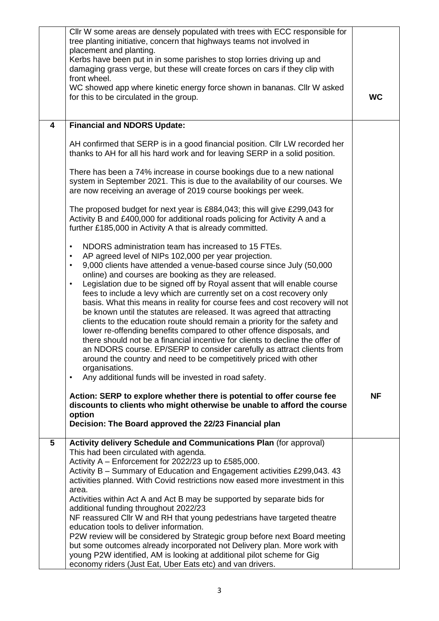|   | CIIr W some areas are densely populated with trees with ECC responsible for<br>tree planting initiative, concern that highways teams not involved in<br>placement and planting.<br>Kerbs have been put in in some parishes to stop lorries driving up and<br>damaging grass verge, but these will create forces on cars if they clip with<br>front wheel.<br>WC showed app where kinetic energy force shown in bananas. Cllr W asked<br>for this to be circulated in the group.                                                                                                                                                                                                                                                                                                                                                                                                                                                                                                                                                                                                                | <b>WC</b> |
|---|------------------------------------------------------------------------------------------------------------------------------------------------------------------------------------------------------------------------------------------------------------------------------------------------------------------------------------------------------------------------------------------------------------------------------------------------------------------------------------------------------------------------------------------------------------------------------------------------------------------------------------------------------------------------------------------------------------------------------------------------------------------------------------------------------------------------------------------------------------------------------------------------------------------------------------------------------------------------------------------------------------------------------------------------------------------------------------------------|-----------|
| 4 | <b>Financial and NDORS Update:</b>                                                                                                                                                                                                                                                                                                                                                                                                                                                                                                                                                                                                                                                                                                                                                                                                                                                                                                                                                                                                                                                             |           |
|   | AH confirmed that SERP is in a good financial position. Cllr LW recorded her<br>thanks to AH for all his hard work and for leaving SERP in a solid position.                                                                                                                                                                                                                                                                                                                                                                                                                                                                                                                                                                                                                                                                                                                                                                                                                                                                                                                                   |           |
|   | There has been a 74% increase in course bookings due to a new national<br>system in September 2021. This is due to the availability of our courses. We<br>are now receiving an average of 2019 course bookings per week.                                                                                                                                                                                                                                                                                                                                                                                                                                                                                                                                                                                                                                                                                                                                                                                                                                                                       |           |
|   | The proposed budget for next year is £884,043; this will give £299,043 for<br>Activity B and £400,000 for additional roads policing for Activity A and a<br>further £185,000 in Activity A that is already committed.                                                                                                                                                                                                                                                                                                                                                                                                                                                                                                                                                                                                                                                                                                                                                                                                                                                                          |           |
|   | NDORS administration team has increased to 15 FTEs.<br>$\bullet$<br>AP agreed level of NIPs 102,000 per year projection.<br>$\bullet$<br>9,000 clients have attended a venue-based course since July (50,000<br>$\bullet$<br>online) and courses are booking as they are released.<br>Legislation due to be signed off by Royal assent that will enable course<br>$\bullet$<br>fees to include a levy which are currently set on a cost recovery only<br>basis. What this means in reality for course fees and cost recovery will not<br>be known until the statutes are released. It was agreed that attracting<br>clients to the education route should remain a priority for the safety and<br>lower re-offending benefits compared to other offence disposals, and<br>there should not be a financial incentive for clients to decline the offer of<br>an NDORS course. EP/SERP to consider carefully as attract clients from<br>around the country and need to be competitively priced with other<br>organisations.<br>Any additional funds will be invested in road safety.<br>$\bullet$ |           |
|   | Action: SERP to explore whether there is potential to offer course fee<br>discounts to clients who might otherwise be unable to afford the course<br>option<br>Decision: The Board approved the 22/23 Financial plan                                                                                                                                                                                                                                                                                                                                                                                                                                                                                                                                                                                                                                                                                                                                                                                                                                                                           | <b>NF</b> |
| 5 | Activity delivery Schedule and Communications Plan (for approval)<br>This had been circulated with agenda.<br>Activity A - Enforcement for 2022/23 up to £585,000.<br>Activity B - Summary of Education and Engagement activities £299,043.43<br>activities planned. With Covid restrictions now eased more investment in this<br>area.<br>Activities within Act A and Act B may be supported by separate bids for<br>additional funding throughout 2022/23<br>NF reassured Cllr W and RH that young pedestrians have targeted theatre<br>education tools to deliver information.<br>P2W review will be considered by Strategic group before next Board meeting<br>but some outcomes already incorporated not Delivery plan. More work with<br>young P2W identified, AM is looking at additional pilot scheme for Gig                                                                                                                                                                                                                                                                          |           |
|   | economy riders (Just Eat, Uber Eats etc) and van drivers.                                                                                                                                                                                                                                                                                                                                                                                                                                                                                                                                                                                                                                                                                                                                                                                                                                                                                                                                                                                                                                      |           |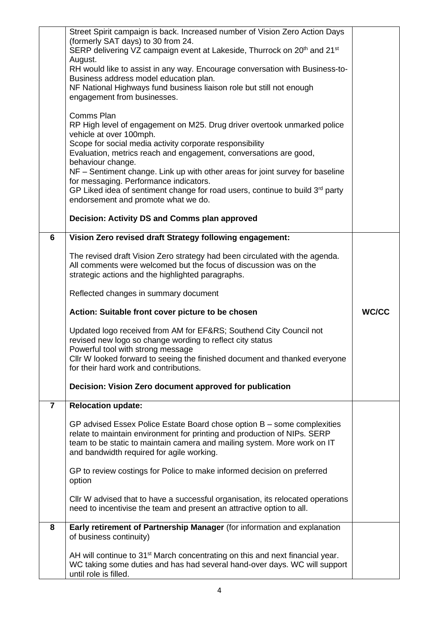|                | Street Spirit campaign is back. Increased number of Vision Zero Action Days<br>(formerly SAT days) to 30 from 24.<br>SERP delivering VZ campaign event at Lakeside, Thurrock on 20 <sup>th</sup> and 21 <sup>st</sup><br>August.<br>RH would like to assist in any way. Encourage conversation with Business-to-<br>Business address model education plan.<br>NF National Highways fund business liaison role but still not enough<br>engagement from businesses.<br>Comms Plan<br>RP High level of engagement on M25. Drug driver overtook unmarked police<br>vehicle at over 100mph.<br>Scope for social media activity corporate responsibility<br>Evaluation, metrics reach and engagement, conversations are good,<br>behaviour change.<br>NF - Sentiment change. Link up with other areas for joint survey for baseline<br>for messaging. Performance indicators.<br>GP Liked idea of sentiment change for road users, continue to build $3rd$ party<br>endorsement and promote what we do. |              |
|----------------|---------------------------------------------------------------------------------------------------------------------------------------------------------------------------------------------------------------------------------------------------------------------------------------------------------------------------------------------------------------------------------------------------------------------------------------------------------------------------------------------------------------------------------------------------------------------------------------------------------------------------------------------------------------------------------------------------------------------------------------------------------------------------------------------------------------------------------------------------------------------------------------------------------------------------------------------------------------------------------------------------|--------------|
|                | Decision: Activity DS and Comms plan approved                                                                                                                                                                                                                                                                                                                                                                                                                                                                                                                                                                                                                                                                                                                                                                                                                                                                                                                                                     |              |
| 6              | Vision Zero revised draft Strategy following engagement:                                                                                                                                                                                                                                                                                                                                                                                                                                                                                                                                                                                                                                                                                                                                                                                                                                                                                                                                          |              |
|                | The revised draft Vision Zero strategy had been circulated with the agenda.<br>All comments were welcomed but the focus of discussion was on the<br>strategic actions and the highlighted paragraphs.                                                                                                                                                                                                                                                                                                                                                                                                                                                                                                                                                                                                                                                                                                                                                                                             |              |
|                | Reflected changes in summary document                                                                                                                                                                                                                                                                                                                                                                                                                                                                                                                                                                                                                                                                                                                                                                                                                                                                                                                                                             |              |
|                |                                                                                                                                                                                                                                                                                                                                                                                                                                                                                                                                                                                                                                                                                                                                                                                                                                                                                                                                                                                                   | <b>WC/CC</b> |
|                | Action: Suitable front cover picture to be chosen                                                                                                                                                                                                                                                                                                                                                                                                                                                                                                                                                                                                                                                                                                                                                                                                                                                                                                                                                 |              |
|                | Updated logo received from AM for EF&RS Southend City Council not<br>revised new logo so change wording to reflect city status<br>Powerful tool with strong message<br>Cllr W looked forward to seeing the finished document and thanked everyone<br>for their hard work and contributions.                                                                                                                                                                                                                                                                                                                                                                                                                                                                                                                                                                                                                                                                                                       |              |
|                | Decision: Vision Zero document approved for publication                                                                                                                                                                                                                                                                                                                                                                                                                                                                                                                                                                                                                                                                                                                                                                                                                                                                                                                                           |              |
| $\overline{7}$ | <b>Relocation update:</b>                                                                                                                                                                                                                                                                                                                                                                                                                                                                                                                                                                                                                                                                                                                                                                                                                                                                                                                                                                         |              |
|                | GP advised Essex Police Estate Board chose option B - some complexities<br>relate to maintain environment for printing and production of NIPs. SERP<br>team to be static to maintain camera and mailing system. More work on IT<br>and bandwidth required for agile working.                                                                                                                                                                                                                                                                                                                                                                                                                                                                                                                                                                                                                                                                                                                      |              |
|                | GP to review costings for Police to make informed decision on preferred<br>option                                                                                                                                                                                                                                                                                                                                                                                                                                                                                                                                                                                                                                                                                                                                                                                                                                                                                                                 |              |
|                | CIIr W advised that to have a successful organisation, its relocated operations<br>need to incentivise the team and present an attractive option to all.                                                                                                                                                                                                                                                                                                                                                                                                                                                                                                                                                                                                                                                                                                                                                                                                                                          |              |
| 8              | Early retirement of Partnership Manager (for information and explanation<br>of business continuity)                                                                                                                                                                                                                                                                                                                                                                                                                                                                                                                                                                                                                                                                                                                                                                                                                                                                                               |              |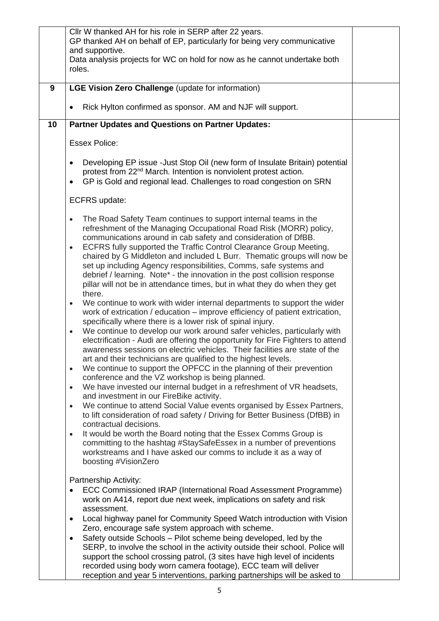|    | Cllr W thanked AH for his role in SERP after 22 years.<br>GP thanked AH on behalf of EP, particularly for being very communicative<br>and supportive.                                                                                                                                                                                                                                                                                                                                                                                                                                                                                                                                                                                                                                                                                                                                                                                                                                                                                                                                                                                                                                                  |  |
|----|--------------------------------------------------------------------------------------------------------------------------------------------------------------------------------------------------------------------------------------------------------------------------------------------------------------------------------------------------------------------------------------------------------------------------------------------------------------------------------------------------------------------------------------------------------------------------------------------------------------------------------------------------------------------------------------------------------------------------------------------------------------------------------------------------------------------------------------------------------------------------------------------------------------------------------------------------------------------------------------------------------------------------------------------------------------------------------------------------------------------------------------------------------------------------------------------------------|--|
|    | Data analysis projects for WC on hold for now as he cannot undertake both<br>roles.                                                                                                                                                                                                                                                                                                                                                                                                                                                                                                                                                                                                                                                                                                                                                                                                                                                                                                                                                                                                                                                                                                                    |  |
| 9  | LGE Vision Zero Challenge (update for information)                                                                                                                                                                                                                                                                                                                                                                                                                                                                                                                                                                                                                                                                                                                                                                                                                                                                                                                                                                                                                                                                                                                                                     |  |
|    | Rick Hylton confirmed as sponsor. AM and NJF will support.                                                                                                                                                                                                                                                                                                                                                                                                                                                                                                                                                                                                                                                                                                                                                                                                                                                                                                                                                                                                                                                                                                                                             |  |
| 10 | <b>Partner Updates and Questions on Partner Updates:</b>                                                                                                                                                                                                                                                                                                                                                                                                                                                                                                                                                                                                                                                                                                                                                                                                                                                                                                                                                                                                                                                                                                                                               |  |
|    | <b>Essex Police:</b>                                                                                                                                                                                                                                                                                                                                                                                                                                                                                                                                                                                                                                                                                                                                                                                                                                                                                                                                                                                                                                                                                                                                                                                   |  |
|    | Developing EP issue - Just Stop Oil (new form of Insulate Britain) potential<br>$\bullet$<br>protest from 22 <sup>nd</sup> March. Intention is nonviolent protest action.<br>GP is Gold and regional lead. Challenges to road congestion on SRN<br>$\bullet$                                                                                                                                                                                                                                                                                                                                                                                                                                                                                                                                                                                                                                                                                                                                                                                                                                                                                                                                           |  |
|    | ECFRS update:                                                                                                                                                                                                                                                                                                                                                                                                                                                                                                                                                                                                                                                                                                                                                                                                                                                                                                                                                                                                                                                                                                                                                                                          |  |
|    | The Road Safety Team continues to support internal teams in the<br>$\bullet$<br>refreshment of the Managing Occupational Road Risk (MORR) policy,<br>communications around in cab safety and consideration of DfBB.<br>ECFRS fully supported the Traffic Control Clearance Group Meeting,<br>$\bullet$<br>chaired by G Middleton and included L Burr. Thematic groups will now be<br>set up including Agency responsibilities, Comms, safe systems and<br>debrief / learning. Note* - the innovation in the post collision response<br>pillar will not be in attendance times, but in what they do when they get<br>there.<br>We continue to work with wider internal departments to support the wider<br>$\bullet$                                                                                                                                                                                                                                                                                                                                                                                                                                                                                    |  |
|    | work of extrication / education – improve efficiency of patient extrication,<br>specifically where there is a lower risk of spinal injury.<br>We continue to develop our work around safer vehicles, particularly with<br>$\bullet$<br>electrification - Audi are offering the opportunity for Fire Fighters to attend<br>awareness sessions on electric vehicles. Their facilities are state of the<br>art and their technicians are qualified to the highest levels.<br>We continue to support the OPFCC in the planning of their prevention<br>$\bullet$<br>conference and the VZ workshop is being planned.<br>We have invested our internal budget in a refreshment of VR headsets,<br>$\bullet$<br>and investment in our FireBike activity.<br>We continue to attend Social Value events organised by Essex Partners,<br>$\bullet$<br>to lift consideration of road safety / Driving for Better Business (DfBB) in<br>contractual decisions.<br>It would be worth the Board noting that the Essex Comms Group is<br>$\bullet$<br>committing to the hashtag #StaySafeEssex in a number of preventions<br>workstreams and I have asked our comms to include it as a way of<br>boosting #VisionZero |  |
|    | Partnership Activity:<br>ECC Commissioned IRAP (International Road Assessment Programme)<br>work on A414, report due next week, implications on safety and risk<br>assessment.<br>Local highway panel for Community Speed Watch introduction with Vision<br>$\bullet$<br>Zero, encourage safe system approach with scheme.<br>Safety outside Schools - Pilot scheme being developed, led by the<br>$\bullet$<br>SERP, to involve the school in the activity outside their school. Police will<br>support the school crossing patrol, (3 sites have high level of incidents<br>recorded using body worn camera footage), ECC team will deliver<br>reception and year 5 interventions, parking partnerships will be asked to                                                                                                                                                                                                                                                                                                                                                                                                                                                                             |  |